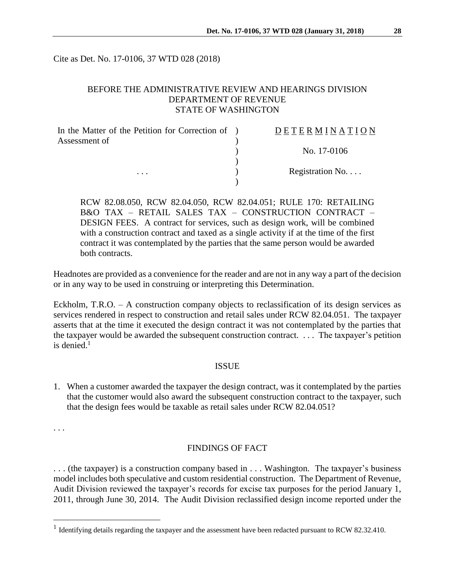Cite as Det. No. 17-0106, 37 WTD 028 (2018)

# BEFORE THE ADMINISTRATIVE REVIEW AND HEARINGS DIVISION DEPARTMENT OF REVENUE STATE OF WASHINGTON

| In the Matter of the Petition for Correction of ) | DETERMINATION   |
|---------------------------------------------------|-----------------|
| Assessment of                                     |                 |
| $\cdots$                                          | No. 17-0106     |
|                                                   | Registration No |
|                                                   |                 |

RCW 82.08.050, RCW 82.04.050, RCW 82.04.051; RULE 170: RETAILING B&O TAX – RETAIL SALES TAX – CONSTRUCTION CONTRACT – DESIGN FEES. A contract for services, such as design work, will be combined with a construction contract and taxed as a single activity if at the time of the first contract it was contemplated by the parties that the same person would be awarded both contracts.

Headnotes are provided as a convenience for the reader and are not in any way a part of the decision or in any way to be used in construing or interpreting this Determination.

Eckholm, T.R.O. – A construction company objects to reclassification of its design services as services rendered in respect to construction and retail sales under RCW 82.04.051. The taxpayer asserts that at the time it executed the design contract it was not contemplated by the parties that the taxpayer would be awarded the subsequent construction contract. . . . The taxpayer's petition is denied. 1

#### ISSUE

1. When a customer awarded the taxpayer the design contract, was it contemplated by the parties that the customer would also award the subsequent construction contract to the taxpayer, such that the design fees would be taxable as retail sales under RCW 82.04.051?

. . .

 $\overline{a}$ 

### FINDINGS OF FACT

. . . (the taxpayer) is a construction company based in . . . Washington. The taxpayer's business model includes both speculative and custom residential construction. The Department of Revenue, Audit Division reviewed the taxpayer's records for excise tax purposes for the period January 1, 2011, through June 30, 2014. The Audit Division reclassified design income reported under the

<sup>&</sup>lt;sup>1</sup> Identifying details regarding the taxpayer and the assessment have been redacted pursuant to RCW 82.32.410.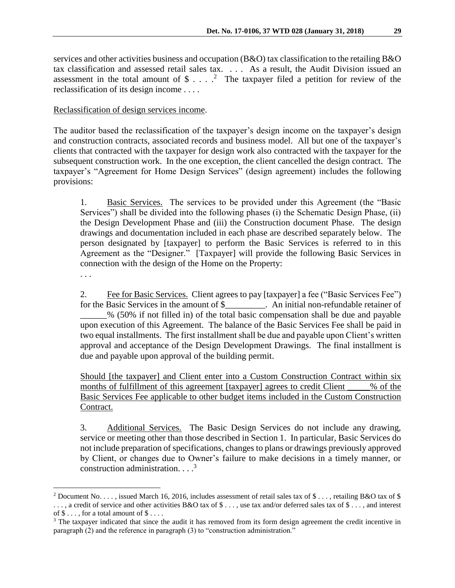services and other activities business and occupation (B&O) tax classification to the retailing B&O tax classification and assessed retail sales tax. . . . As a result, the Audit Division issued an assessment in the total amount of  $\frac{1}{2}$ ....<sup>2</sup> The taxpayer filed a petition for review of the reclassification of its design income . . . .

# Reclassification of design services income.

The auditor based the reclassification of the taxpayer's design income on the taxpayer's design and construction contracts, associated records and business model. All but one of the taxpayer's clients that contracted with the taxpayer for design work also contracted with the taxpayer for the subsequent construction work. In the one exception, the client cancelled the design contract. The taxpayer's "Agreement for Home Design Services" (design agreement) includes the following provisions:

1. Basic Services. The services to be provided under this Agreement (the "Basic Services") shall be divided into the following phases (i) the Schematic Design Phase, (ii) the Design Development Phase and (iii) the Construction document Phase. The design drawings and documentation included in each phase are described separately below. The person designated by [taxpayer] to perform the Basic Services is referred to in this Agreement as the "Designer." [Taxpayer] will provide the following Basic Services in connection with the design of the Home on the Property:

. . .

 $\overline{a}$ 

2. Fee for Basic Services. Client agrees to pay [taxpayer] a fee ("Basic Services Fee") for the Basic Services in the amount of \$\_\_\_\_\_\_\_\_\_. An initial non-refundable retainer of \_\_\_\_\_\_% (50% if not filled in) of the total basic compensation shall be due and payable upon execution of this Agreement. The balance of the Basic Services Fee shall be paid in two equal installments. The first installment shall be due and payable upon Client's written approval and acceptance of the Design Development Drawings. The final installment is due and payable upon approval of the building permit.

Should [the taxpayer] and Client enter into a Custom Construction Contract within six months of fulfillment of this agreement [taxpayer] agrees to credit Client \_\_\_\_\_% of the Basic Services Fee applicable to other budget items included in the Custom Construction Contract.

3. Additional Services. The Basic Design Services do not include any drawing, service or meeting other than those described in Section 1. In particular, Basic Services do not include preparation of specifications, changes to plans or drawings previously approved by Client, or changes due to Owner's failure to make decisions in a timely manner, or construction administration.  $\cdot \cdot \cdot$ <sup>3</sup>

<sup>&</sup>lt;sup>2</sup> Document No. . . . , issued March 16, 2016, includes assessment of retail sales tax of \$ . . . , retailing B&O tax of \$ ..., a credit of service and other activities B&O tax of \$..., use tax and/or deferred sales tax of \$..., and interest of  $\$\ldots$ , for a total amount of  $\$\ldots$ .

<sup>&</sup>lt;sup>3</sup> The taxpayer indicated that since the audit it has removed from its form design agreement the credit incentive in paragraph (2) and the reference in paragraph (3) to "construction administration."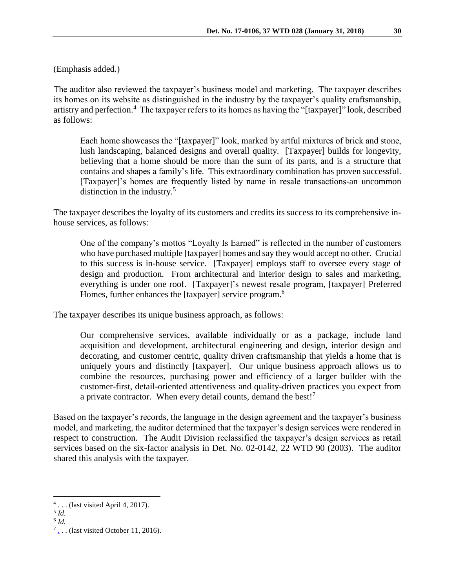(Emphasis added.)

The auditor also reviewed the taxpayer's business model and marketing. The taxpayer describes its homes on its website as distinguished in the industry by the taxpayer's quality craftsmanship, artistry and perfection.<sup>4</sup> The taxpayer refers to its homes as having the "[taxpayer]" look, described as follows:

Each home showcases the "[taxpayer]" look, marked by artful mixtures of brick and stone, lush landscaping, balanced designs and overall quality. [Taxpayer] builds for longevity, believing that a home should be more than the sum of its parts, and is a structure that contains and shapes a family's life. This extraordinary combination has proven successful. [Taxpayer]'s homes are frequently listed by name in resale transactions-an uncommon distinction in the industry. 5

The taxpayer describes the loyalty of its customers and credits its success to its comprehensive inhouse services, as follows:

One of the company's mottos "Loyalty Is Earned" is reflected in the number of customers who have purchased multiple [taxpayer] homes and say they would accept no other. Crucial to this success is in-house service. [Taxpayer] employs staff to oversee every stage of design and production. From architectural and interior design to sales and marketing, everything is under one roof. [Taxpayer]'s newest resale program, [taxpayer] Preferred Homes, further enhances the [taxpayer] service program.<sup>6</sup>

The taxpayer describes its unique business approach, as follows:

Our comprehensive services, available individually or as a package, include land acquisition and development, architectural engineering and design, interior design and decorating, and customer centric, quality driven craftsmanship that yields a home that is uniquely yours and distinctly [taxpayer]. Our unique business approach allows us to combine the resources, purchasing power and efficiency of a larger builder with the customer-first, detail-oriented attentiveness and quality-driven practices you expect from a private contractor. When every detail counts, demand the best!<sup>7</sup>

Based on the taxpayer's records, the language in the design agreement and the taxpayer's business model, and marketing, the auditor determined that the taxpayer's design services were rendered in respect to construction. The Audit Division reclassified the taxpayer's design services as retail services based on the six-factor analysis in Det. No. 02-0142, 22 WTD 90 (2003). The auditor shared this analysis with the taxpayer.

 $\overline{a}$ 

 $4 \ldots$  (last visited April 4, 2017).

<sup>5</sup> *Id.*

<sup>6</sup> *Id.*

 $7_{\text{\tiny L}}$ [.](http://buchan.com/custom-homes/). (last visited October 11, 2016).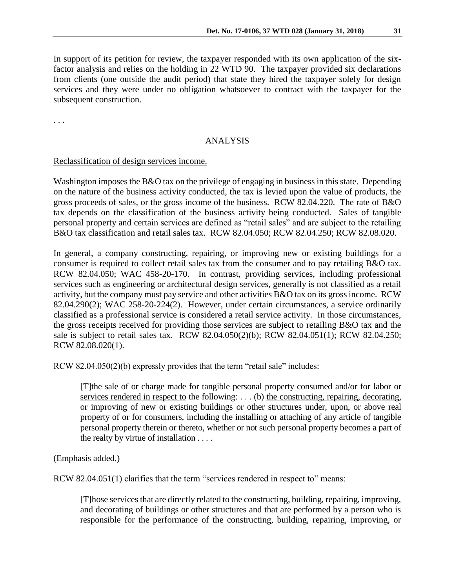In support of its petition for review, the taxpayer responded with its own application of the sixfactor analysis and relies on the holding in 22 WTD 90. The taxpayer provided six declarations from clients (one outside the audit period) that state they hired the taxpayer solely for design services and they were under no obligation whatsoever to contract with the taxpayer for the subsequent construction.

. . .

## ANALYSIS

### Reclassification of design services income.

Washington imposes the B&O tax on the privilege of engaging in business in this state. Depending on the nature of the business activity conducted, the tax is levied upon the value of products, the gross proceeds of sales, or the gross income of the business. RCW 82.04.220. The rate of B&O tax depends on the classification of the business activity being conducted. Sales of tangible personal property and certain services are defined as "retail sales" and are subject to the retailing B&O tax classification and retail sales tax. RCW 82.04.050; RCW 82.04.250; RCW 82.08.020.

In general, a company constructing, repairing, or improving new or existing buildings for a consumer is required to collect retail sales tax from the consumer and to pay retailing B&O tax. RCW 82.04.050; WAC 458-20-170. In contrast, providing services, including professional services such as engineering or architectural design services, generally is not classified as a retail activity, but the company must pay service and other activities B&O tax on its gross income. RCW 82.04.290(2); WAC 258-20-224(2). However, under certain circumstances, a service ordinarily classified as a professional service is considered a retail service activity. In those circumstances, the gross receipts received for providing those services are subject to retailing B&O tax and the sale is subject to retail sales tax. RCW 82.04.050(2)(b); RCW 82.04.051(1); RCW 82.04.250; RCW 82.08.020(1).

RCW 82.04.050(2)(b) expressly provides that the term "retail sale" includes:

[T]the sale of or charge made for tangible personal property consumed and/or for labor or services rendered in respect to the following: . . . (b) the constructing, repairing, decorating, or improving of new or existing buildings or other structures under, upon, or above real property of or for consumers*,* including the installing or attaching of any article of tangible personal property therein or thereto, whether or not such personal property becomes a part of the realty by virtue of installation . . . .

(Emphasis added.)

RCW 82.04.051(1) clarifies that the term "services rendered in respect to" means:

[T]hose services that are directly related to the constructing, building, repairing, improving, and decorating of buildings or other structures and that are performed by a person who is responsible for the performance of the constructing, building, repairing, improving, or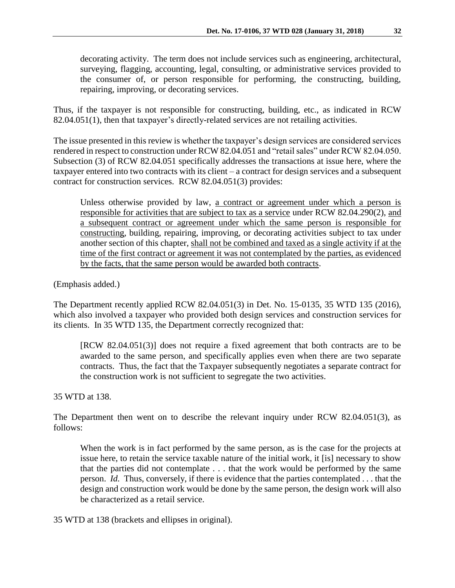decorating activity. The term does not include services such as engineering, architectural, surveying, flagging, accounting, legal, consulting, or administrative services provided to the consumer of, or person responsible for performing, the constructing, building, repairing, improving, or decorating services.

Thus, if the taxpayer is not responsible for constructing, building, etc., as indicated in RCW 82.04.051(1), then that taxpayer's directly-related services are not retailing activities.

The issue presented in this review is whether the taxpayer's design services are considered services rendered in respect to construction under RCW 82.04.051 and "retail sales" under RCW 82.04.050. Subsection (3) of RCW 82.04.051 specifically addresses the transactions at issue here, where the taxpayer entered into two contracts with its client – a contract for design services and a subsequent contract for construction services. RCW 82.04.051(3) provides:

Unless otherwise provided by law, a contract or agreement under which a person is responsible for activities that are subject to tax as a service under RCW 82.04.290(2), and a subsequent contract or agreement under which the same person is responsible for constructing, building, repairing, improving, or decorating activities subject to tax under another section of this chapter, shall not be combined and taxed as a single activity if at the time of the first contract or agreement it was not contemplated by the parties, as evidenced by the facts, that the same person would be awarded both contracts.

(Emphasis added.)

The Department recently applied RCW 82.04.051(3) in Det. No. 15-0135, 35 WTD 135 (2016), which also involved a taxpayer who provided both design services and construction services for its clients. In 35 WTD 135, the Department correctly recognized that:

[RCW 82.04.051(3)] does not require a fixed agreement that both contracts are to be awarded to the same person, and specifically applies even when there are two separate contracts. Thus, the fact that the Taxpayer subsequently negotiates a separate contract for the construction work is not sufficient to segregate the two activities.

35 WTD at 138.

The Department then went on to describe the relevant inquiry under RCW 82.04.051(3), as follows:

When the work is in fact performed by the same person, as is the case for the projects at issue here, to retain the service taxable nature of the initial work, it [is] necessary to show that the parties did not contemplate . . . that the work would be performed by the same person. *Id.* Thus, conversely, if there is evidence that the parties contemplated . . . that the design and construction work would be done by the same person, the design work will also be characterized as a retail service.

35 WTD at 138 (brackets and ellipses in original).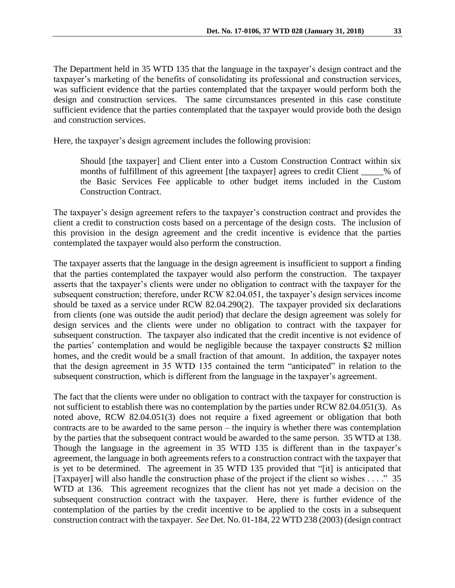The Department held in 35 WTD 135 that the language in the taxpayer's design contract and the taxpayer's marketing of the benefits of consolidating its professional and construction services, was sufficient evidence that the parties contemplated that the taxpayer would perform both the design and construction services. The same circumstances presented in this case constitute sufficient evidence that the parties contemplated that the taxpayer would provide both the design and construction services.

Here, the taxpayer's design agreement includes the following provision:

Should [the taxpayer] and Client enter into a Custom Construction Contract within six months of fulfillment of this agreement [the taxpayer] agrees to credit Client \_\_\_\_\_% of the Basic Services Fee applicable to other budget items included in the Custom Construction Contract.

The taxpayer's design agreement refers to the taxpayer's construction contract and provides the client a credit to construction costs based on a percentage of the design costs. The inclusion of this provision in the design agreement and the credit incentive is evidence that the parties contemplated the taxpayer would also perform the construction.

The taxpayer asserts that the language in the design agreement is insufficient to support a finding that the parties contemplated the taxpayer would also perform the construction. The taxpayer asserts that the taxpayer's clients were under no obligation to contract with the taxpayer for the subsequent construction; therefore, under RCW 82.04.051, the taxpayer's design services income should be taxed as a service under RCW 82.04.290(2). The taxpayer provided six declarations from clients (one was outside the audit period) that declare the design agreement was solely for design services and the clients were under no obligation to contract with the taxpayer for subsequent construction. The taxpayer also indicated that the credit incentive is not evidence of the parties' contemplation and would be negligible because the taxpayer constructs \$2 million homes, and the credit would be a small fraction of that amount. In addition, the taxpayer notes that the design agreement in 35 WTD 135 contained the term "anticipated" in relation to the subsequent construction, which is different from the language in the taxpayer's agreement.

The fact that the clients were under no obligation to contract with the taxpayer for construction is not sufficient to establish there was no contemplation by the parties under RCW 82.04.051(3). As noted above, RCW 82.04.051(3) does not require a fixed agreement or obligation that both contracts are to be awarded to the same person – the inquiry is whether there was contemplation by the parties that the subsequent contract would be awarded to the same person. 35 WTD at 138. Though the language in the agreement in 35 WTD 135 is different than in the taxpayer's agreement, the language in both agreements refers to a construction contract with the taxpayer that is yet to be determined. The agreement in 35 WTD 135 provided that "[it] is anticipated that [Taxpayer] will also handle the construction phase of the project if the client so wishes . . . ." 35 WTD at 136. This agreement recognizes that the client has not yet made a decision on the subsequent construction contract with the taxpayer. Here, there is further evidence of the contemplation of the parties by the credit incentive to be applied to the costs in a subsequent construction contract with the taxpayer. *See* Det. No. 01-184, 22 WTD 238 (2003) (design contract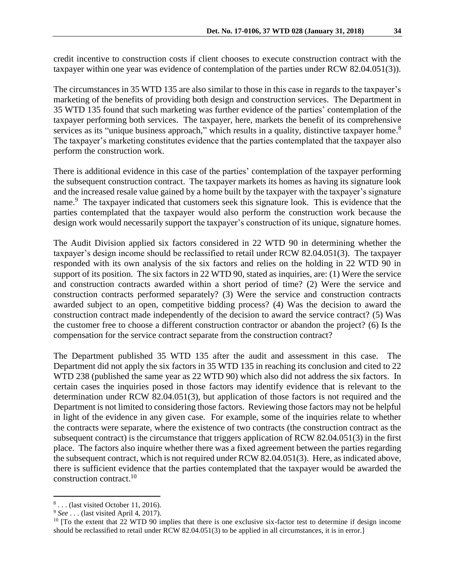credit incentive to construction costs if client chooses to execute construction contract with the taxpayer within one year was evidence of contemplation of the parties under RCW 82.04.051(3)).

The circumstances in 35 WTD 135 are also similar to those in this case in regards to the taxpayer's marketing of the benefits of providing both design and construction services. The Department in 35 WTD 135 found that such marketing was further evidence of the parties' contemplation of the taxpayer performing both services. The taxpayer, here, markets the benefit of its comprehensive services as its "unique business approach," which results in a quality, distinctive taxpayer home.<sup>8</sup> The taxpayer's marketing constitutes evidence that the parties contemplated that the taxpayer also perform the construction work.

There is additional evidence in this case of the parties' contemplation of the taxpayer performing the subsequent construction contract. The taxpayer markets its homes as having its signature look and the increased resale value gained by a home built by the taxpayer with the taxpayer's signature name.<sup>9</sup> The taxpayer indicated that customers seek this signature look. This is evidence that the parties contemplated that the taxpayer would also perform the construction work because the design work would necessarily support the taxpayer's construction of its unique, signature homes.

The Audit Division applied six factors considered in 22 WTD 90 in determining whether the taxpayer's design income should be reclassified to retail under RCW 82.04.051(3). The taxpayer responded with its own analysis of the six factors and relies on the holding in 22 WTD 90 in support of its position. The six factors in 22 WTD 90, stated as inquiries, are: (1) Were the service and construction contracts awarded within a short period of time? (2) Were the service and construction contracts performed separately? (3) Were the service and construction contracts awarded subject to an open, competitive bidding process? (4) Was the decision to award the construction contract made independently of the decision to award the service contract? (5) Was the customer free to choose a different construction contractor or abandon the project? (6) Is the compensation for the service contract separate from the construction contract?

The Department published 35 WTD 135 after the audit and assessment in this case. The Department did not apply the six factors in 35 WTD 135 in reaching its conclusion and cited to 22 WTD 238 (published the same year as 22 WTD 90) which also did not address the six factors. In certain cases the inquiries posed in those factors may identify evidence that is relevant to the determination under RCW 82.04.051(3), but application of those factors is not required and the Department is not limited to considering those factors. Reviewing those factors may not be helpful in light of the evidence in any given case. For example, some of the inquiries relate to whether the contracts were separate, where the existence of two contracts (the construction contract as the subsequent contract) is the circumstance that triggers application of RCW 82.04.051(3) in the first place. The factors also inquire whether there was a fixed agreement between the parties regarding the subsequent contract, which is not required under RCW 82.04.051(3). Here, as indicated above, there is sufficient evidence that the parties contemplated that the taxpayer would be awarded the construction contract. 10

 $\overline{a}$ 

<sup>8</sup> . . . (last visited October 11, 2016).

<sup>9</sup> *See* . . . (last visited April 4, 2017).

<sup>&</sup>lt;sup>10</sup> [To the extent that 22 WTD 90 implies that there is one exclusive six-factor test to determine if design income should be reclassified to retail under RCW 82.04.051(3) to be applied in all circumstances, it is in error.]